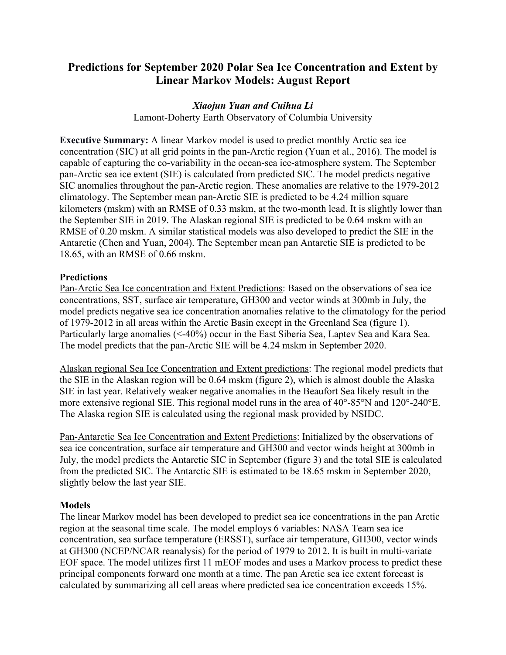# **Predictions for September 2020 Polar Sea Ice Concentration and Extent by Linear Markov Models: August Report**

# *Xiaojun Yuan and Cuihua Li*

Lamont-Doherty Earth Observatory of Columbia University

**Executive Summary:** A linear Markov model is used to predict monthly Arctic sea ice concentration (SIC) at all grid points in the pan-Arctic region (Yuan et al., 2016). The model is capable of capturing the co-variability in the ocean-sea ice-atmosphere system. The September pan-Arctic sea ice extent (SIE) is calculated from predicted SIC. The model predicts negative SIC anomalies throughout the pan-Arctic region. These anomalies are relative to the 1979-2012 climatology. The September mean pan-Arctic SIE is predicted to be 4.24 million square kilometers (mskm) with an RMSE of 0.33 mskm, at the two-month lead. It is slightly lower than the September SIE in 2019. The Alaskan regional SIE is predicted to be 0.64 mskm with an RMSE of 0.20 mskm. A similar statistical models was also developed to predict the SIE in the Antarctic (Chen and Yuan, 2004). The September mean pan Antarctic SIE is predicted to be 18.65, with an RMSE of 0.66 mskm.

## **Predictions**

Pan-Arctic Sea Ice concentration and Extent Predictions: Based on the observations of sea ice concentrations, SST, surface air temperature, GH300 and vector winds at 300mb in July, the model predicts negative sea ice concentration anomalies relative to the climatology for the period of 1979-2012 in all areas within the Arctic Basin except in the Greenland Sea (figure 1). Particularly large anomalies (<-40%) occur in the East Siberia Sea, Laptev Sea and Kara Sea. The model predicts that the pan-Arctic SIE will be 4.24 mskm in September 2020.

Alaskan regional Sea Ice Concentration and Extent predictions: The regional model predicts that the SIE in the Alaskan region will be 0.64 mskm (figure 2), which is almost double the Alaska SIE in last year. Relatively weaker negative anomalies in the Beaufort Sea likely result in the more extensive regional SIE. This regional model runs in the area of 40°-85°N and 120°-240°E. The Alaska region SIE is calculated using the regional mask provided by NSIDC.

Pan-Antarctic Sea Ice Concentration and Extent Predictions: Initialized by the observations of sea ice concentration, surface air temperature and GH300 and vector winds height at 300mb in July, the model predicts the Antarctic SIC in September (figure 3) and the total SIE is calculated from the predicted SIC. The Antarctic SIE is estimated to be 18.65 mskm in September 2020, slightly below the last year SIE.

#### **Models**

The linear Markov model has been developed to predict sea ice concentrations in the pan Arctic region at the seasonal time scale. The model employs 6 variables: NASA Team sea ice concentration, sea surface temperature (ERSST), surface air temperature, GH300, vector winds at GH300 (NCEP/NCAR reanalysis) for the period of 1979 to 2012. It is built in multi-variate EOF space. The model utilizes first 11 mEOF modes and uses a Markov process to predict these principal components forward one month at a time. The pan Arctic sea ice extent forecast is calculated by summarizing all cell areas where predicted sea ice concentration exceeds 15%.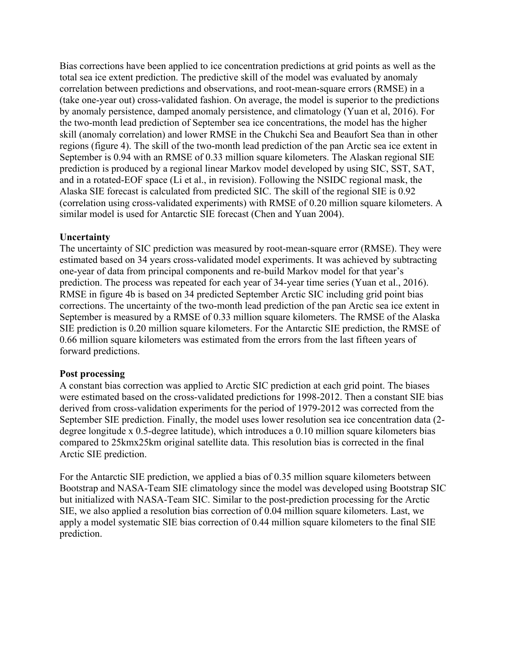Bias corrections have been applied to ice concentration predictions at grid points as well as the total sea ice extent prediction. The predictive skill of the model was evaluated by anomaly correlation between predictions and observations, and root-mean-square errors (RMSE) in a (take one-year out) cross-validated fashion. On average, the model is superior to the predictions by anomaly persistence, damped anomaly persistence, and climatology (Yuan et al, 2016). For the two-month lead prediction of September sea ice concentrations, the model has the higher skill (anomaly correlation) and lower RMSE in the Chukchi Sea and Beaufort Sea than in other regions (figure 4). The skill of the two-month lead prediction of the pan Arctic sea ice extent in September is 0.94 with an RMSE of 0.33 million square kilometers. The Alaskan regional SIE prediction is produced by a regional linear Markov model developed by using SIC, SST, SAT, and in a rotated-EOF space (Li et al., in revision). Following the NSIDC regional mask, the Alaska SIE forecast is calculated from predicted SIC. The skill of the regional SIE is 0.92 (correlation using cross-validated experiments) with RMSE of 0.20 million square kilometers. A similar model is used for Antarctic SIE forecast (Chen and Yuan 2004).

## **Uncertainty**

The uncertainty of SIC prediction was measured by root-mean-square error (RMSE). They were estimated based on 34 years cross-validated model experiments. It was achieved by subtracting one-year of data from principal components and re-build Markov model for that year's prediction. The process was repeated for each year of 34-year time series (Yuan et al., 2016). RMSE in figure 4b is based on 34 predicted September Arctic SIC including grid point bias corrections. The uncertainty of the two-month lead prediction of the pan Arctic sea ice extent in September is measured by a RMSE of 0.33 million square kilometers. The RMSE of the Alaska SIE prediction is 0.20 million square kilometers. For the Antarctic SIE prediction, the RMSE of 0.66 million square kilometers was estimated from the errors from the last fifteen years of forward predictions.

# **Post processing**

A constant bias correction was applied to Arctic SIC prediction at each grid point. The biases were estimated based on the cross-validated predictions for 1998-2012. Then a constant SIE bias derived from cross-validation experiments for the period of 1979-2012 was corrected from the September SIE prediction. Finally, the model uses lower resolution sea ice concentration data (2 degree longitude x 0.5-degree latitude), which introduces a 0.10 million square kilometers bias compared to 25kmx25km original satellite data. This resolution bias is corrected in the final Arctic SIE prediction.

For the Antarctic SIE prediction, we applied a bias of 0.35 million square kilometers between Bootstrap and NASA-Team SIE climatology since the model was developed using Bootstrap SIC but initialized with NASA-Team SIC. Similar to the post-prediction processing for the Arctic SIE, we also applied a resolution bias correction of 0.04 million square kilometers. Last, we apply a model systematic SIE bias correction of 0.44 million square kilometers to the final SIE prediction.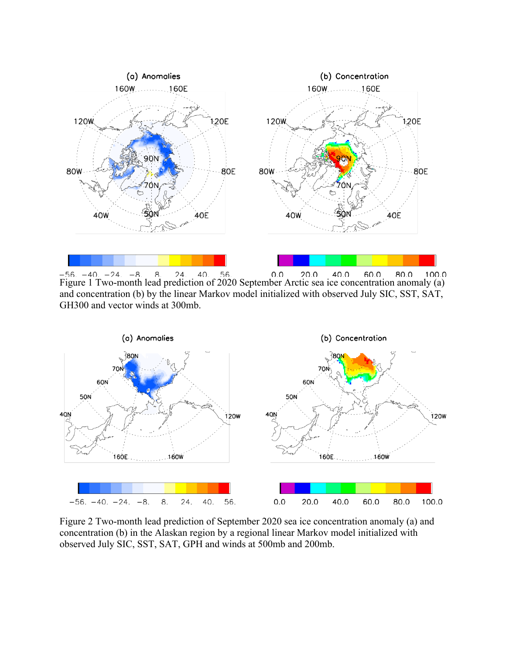

 $-56. -40. -24. -8. 8. 24. 40. 56. 0.0 20.0 40.0 60.0 80.0 100.0$ <br>Figure 1 Two-month lead prediction of 2020 September Arctic sea ice concentration anomaly (a)  $-56. -40. -24. -8.$ 8.  $24.$  $0.0$  $40.0$ 60.0 80.0 100.0 and concentration (b) by the linear Markov model initialized with observed July SIC, SST, SAT, GH300 and vector winds at 300mb.



Figure 2 Two-month lead prediction of September 2020 sea ice concentration anomaly (a) and concentration (b) in the Alaskan region by a regional linear Markov model initialized with observed July SIC, SST, SAT, GPH and winds at 500mb and 200mb.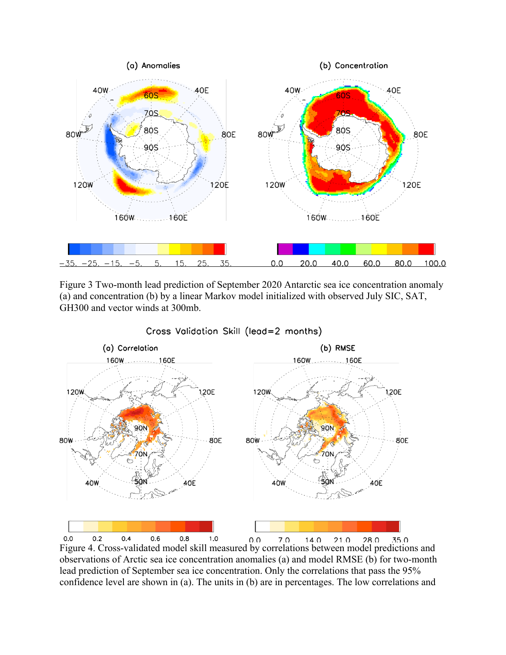

Figure 3 Two-month lead prediction of September 2020 Antarctic sea ice concentration anomaly (a) and concentration (b) by a linear Markov model initialized with observed July SIC, SAT, GH300 and vector winds at 300mb.



 $0.8$ Figure 4. Cross-validated model skill measured by correlations between model predictions and  $0.0$  $0.2$  $0.4$  $0.6$  $1.0$ observations of Arctic sea ice concentration anomalies (a) and model RMSE (b) for two-month lead prediction of September sea ice concentration. Only the correlations that pass the 95% confidence level are shown in (a). The units in (b) are in percentages. The low correlations and